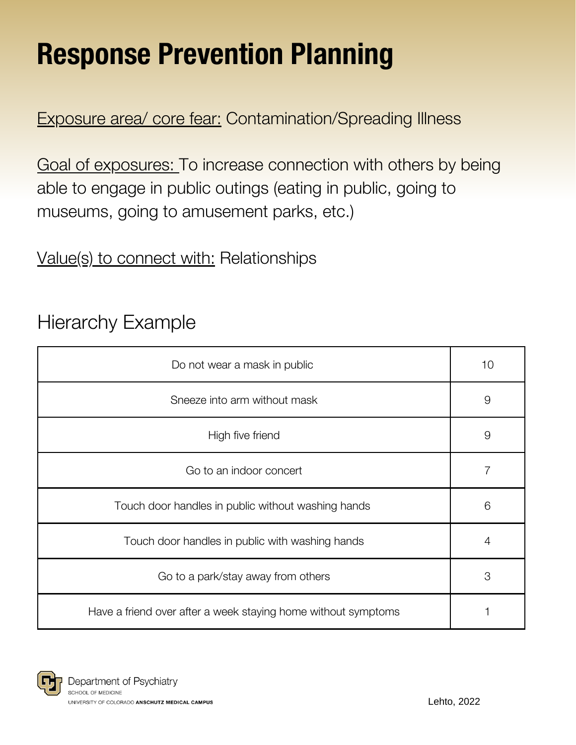# Response Prevention Planning

Exposure area/ core fear: Contamination/Spreading Illness

Goal of exposures: To increase connection with others by being able to engage in public outings (eating in public, going to museums, going to amusement parks, etc.)

Value(s) to connect with: Relationships

### Hierarchy Example

| Do not wear a mask in public                                  | 10 |
|---------------------------------------------------------------|----|
| Sneeze into arm without mask                                  | 9  |
| High five friend                                              | 9  |
| Go to an indoor concert                                       |    |
| Touch door handles in public without washing hands            | 6  |
| Touch door handles in public with washing hands               | 4  |
| Go to a park/stay away from others                            | 3  |
| Have a friend over after a week staying home without symptoms |    |

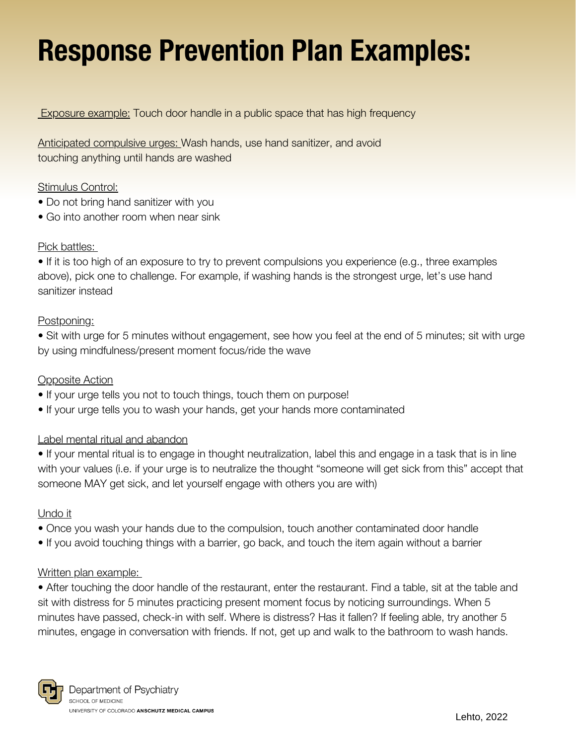# Response Prevention Plan Examples:

**Exposure example:** Touch door handle in a public space that has high frequency

Anticipated compulsive urges: Wash hands, use hand sanitizer, and avoid touching anything until hands are washed

#### Stimulus Control:

- Do not bring hand sanitizer with you
- Go into another room when near sink

#### Pick battles:

• If it is too high of an exposure to try to prevent compulsions you experience (e.g., three examples above), pick one to challenge. For example, if washing hands is the strongest urge, let's use hand sanitizer instead

#### Postponing:

• Sit with urge for 5 minutes without engagement, see how you feel at the end of 5 minutes; sit with urge by using mindfulness/present moment focus/ride the wave

#### Opposite Action

- If your urge tells you not to touch things, touch them on purpose!
- If your urge tells you to wash your hands, get your hands more contaminated

#### Label mental ritual and abandon

• If your mental ritual is to engage in thought neutralization, label this and engage in a task that is in line with your values (i.e. if your urge is to neutralize the thought "someone will get sick from this" accept that someone MAY get sick, and let yourself engage with others you are with)

#### Undo it

- Once you wash your hands due to the compulsion, touch another contaminated door handle
- If you avoid touching things with a barrier, go back, and touch the item again without a barrier

#### Written plan example:

• After touching the door handle of the restaurant, enter the restaurant. Find a table, sit at the table and sit with distress for 5 minutes practicing present moment focus by noticing surroundings. When 5 minutes have passed, check-in with self. Where is distress? Has it fallen? If feeling able, try another 5 minutes, engage in conversation with friends. If not, get up and walk to the bathroom to wash hands.